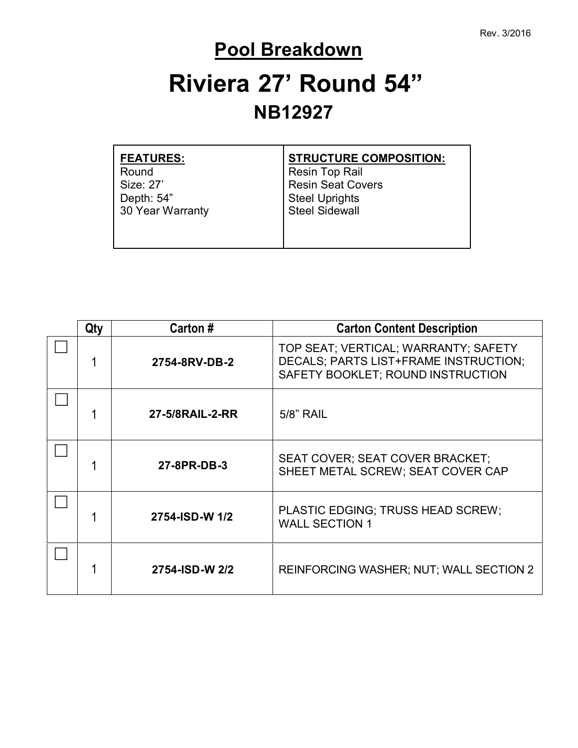### **Pool Breakdown**

# **Riviera 27' Round 54" NB12927**

| <b>FEATURES:</b> | <b>STRUCTURE COMPOSITION:</b> |
|------------------|-------------------------------|
| Round            | Resin Top Rail                |
| Size: 27'        | <b>Resin Seat Covers</b>      |
| Depth: 54"       | <b>Steel Uprights</b>         |
| 30 Year Warranty | <b>Steel Sidewall</b>         |
|                  |                               |
|                  |                               |
|                  |                               |

| Qty | Carton #                                                                     | <b>Carton Content Description</b>                                                                                  |  |
|-----|------------------------------------------------------------------------------|--------------------------------------------------------------------------------------------------------------------|--|
|     | 2754-8RV-DB-2                                                                | TOP SEAT; VERTICAL; WARRANTY; SAFETY<br>DECALS; PARTS LIST+FRAME INSTRUCTION;<br>SAFETY BOOKLET; ROUND INSTRUCTION |  |
|     | 27-5/8RAIL-2-RR<br>5/8" RAIL                                                 |                                                                                                                    |  |
|     | 27-8PR-DB-3                                                                  | SEAT COVER; SEAT COVER BRACKET;<br>SHEET METAL SCREW; SEAT COVER CAP                                               |  |
|     | PLASTIC EDGING; TRUSS HEAD SCREW;<br>2754-ISD-W 1/2<br><b>WALL SECTION 1</b> |                                                                                                                    |  |
|     | 2754-ISD-W 2/2                                                               | <b>REINFORCING WASHER; NUT; WALL SECTION 2</b>                                                                     |  |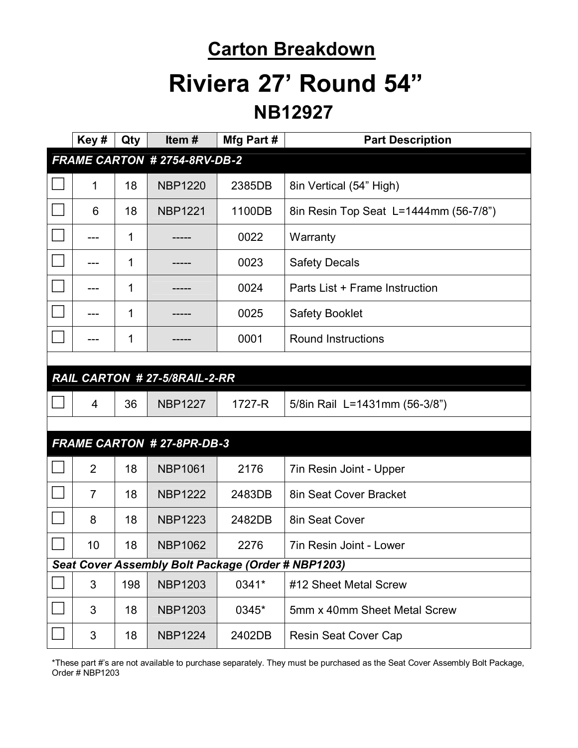### **Carton Breakdown**

## **Riviera 27' Round 54"**

#### **NB12927**

|                                                    | Key#           | Qty | Item#                            | Mfg Part # | <b>Part Description</b>               |
|----------------------------------------------------|----------------|-----|----------------------------------|------------|---------------------------------------|
| FRAME CARTON # 2754-8RV-DB-2                       |                |     |                                  |            |                                       |
|                                                    | 1              | 18  | <b>NBP1220</b>                   | 2385DB     | 8in Vertical (54" High)               |
|                                                    | 6              | 18  | <b>NBP1221</b>                   | 1100DB     | 8in Resin Top Seat L=1444mm (56-7/8") |
|                                                    | ---            | 1   |                                  | 0022       | Warranty                              |
|                                                    |                | 1   |                                  | 0023       | <b>Safety Decals</b>                  |
|                                                    |                | 1   |                                  | 0024       | Parts List + Frame Instruction        |
|                                                    |                | 1   |                                  | 0025       | <b>Safety Booklet</b>                 |
|                                                    |                | 1   |                                  | 0001       | <b>Round Instructions</b>             |
|                                                    |                |     |                                  |            |                                       |
|                                                    |                |     | RAIL CARTON # 27-5/8RAIL-2-RR    |            |                                       |
|                                                    | 4              | 36  | <b>NBP1227</b>                   | 1727-R     | 5/8in Rail L=1431mm (56-3/8")         |
|                                                    |                |     |                                  |            |                                       |
|                                                    |                |     | <b>FRAME CARTON #27-8PR-DB-3</b> |            |                                       |
|                                                    | $\overline{2}$ | 18  | <b>NBP1061</b>                   | 2176       | 7in Resin Joint - Upper               |
|                                                    | $\overline{7}$ | 18  | <b>NBP1222</b>                   | 2483DB     | 8in Seat Cover Bracket                |
|                                                    | 8              | 18  | <b>NBP1223</b>                   | 2482DB     | 8in Seat Cover                        |
|                                                    | 10             | 18  | <b>NBP1062</b>                   | 2276       | 7in Resin Joint - Lower               |
| Seat Cover Assembly Bolt Package (Order # NBP1203) |                |     |                                  |            |                                       |
|                                                    | $\mathsf 3$    | 198 | <b>NBP1203</b>                   | 0341*      | #12 Sheet Metal Screw                 |
|                                                    | 3              | 18  | <b>NBP1203</b>                   | 0345*      | 5mm x 40mm Sheet Metal Screw          |
|                                                    | 3              | 18  | <b>NBP1224</b>                   | 2402DB     | Resin Seat Cover Cap                  |

\*These part #'s are not available to purchase separately. They must be purchased as the Seat Cover Assembly Bolt Package, Order # NBP1203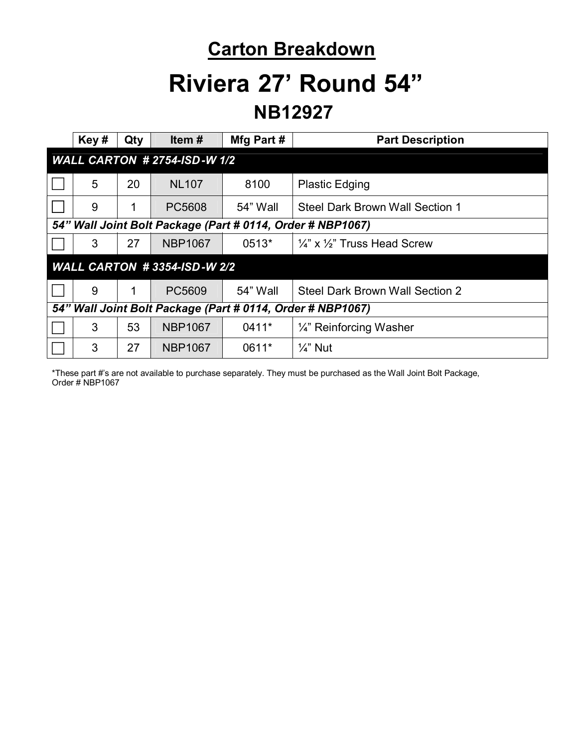### **Carton Breakdown**

### **Riviera 27' Round 54"**

#### **NB12927**

|                                                            | Key# | Qty | Item $#$       | Mfg Part # | <b>Part Description</b>                            |
|------------------------------------------------------------|------|-----|----------------|------------|----------------------------------------------------|
| <b>WALL CARTON # 2754-ISD-W 1/2</b>                        |      |     |                |            |                                                    |
|                                                            | 5    | 20  | <b>NL107</b>   | 8100       | <b>Plastic Edging</b>                              |
|                                                            | 9    | 1   | PC5608         | 54" Wall   | Steel Dark Brown Wall Section 1                    |
| 54" Wall Joint Bolt Package (Part # 0114, Order # NBP1067) |      |     |                |            |                                                    |
|                                                            | 3    | 27  | <b>NBP1067</b> | 0513*      | $\frac{1}{4}$ " x $\frac{1}{2}$ " Truss Head Screw |
| <b>WALL CARTON #3354-ISD-W 2/2</b>                         |      |     |                |            |                                                    |
|                                                            | 9    |     | PC5609         | 54" Wall   | Steel Dark Brown Wall Section 2                    |
| 54" Wall Joint Bolt Package (Part # 0114, Order # NBP1067) |      |     |                |            |                                                    |
|                                                            | 3    | 53  | <b>NBP1067</b> | 0411*      | $\frac{1}{4}$ " Reinforcing Washer                 |
|                                                            | 3    | 27  | <b>NBP1067</b> | 0611*      | $\frac{1}{4}$ " Nut                                |

\*These part #'s are not available to purchase separately. They must be purchased as the Wall Joint Bolt Package, Order # NBP1067